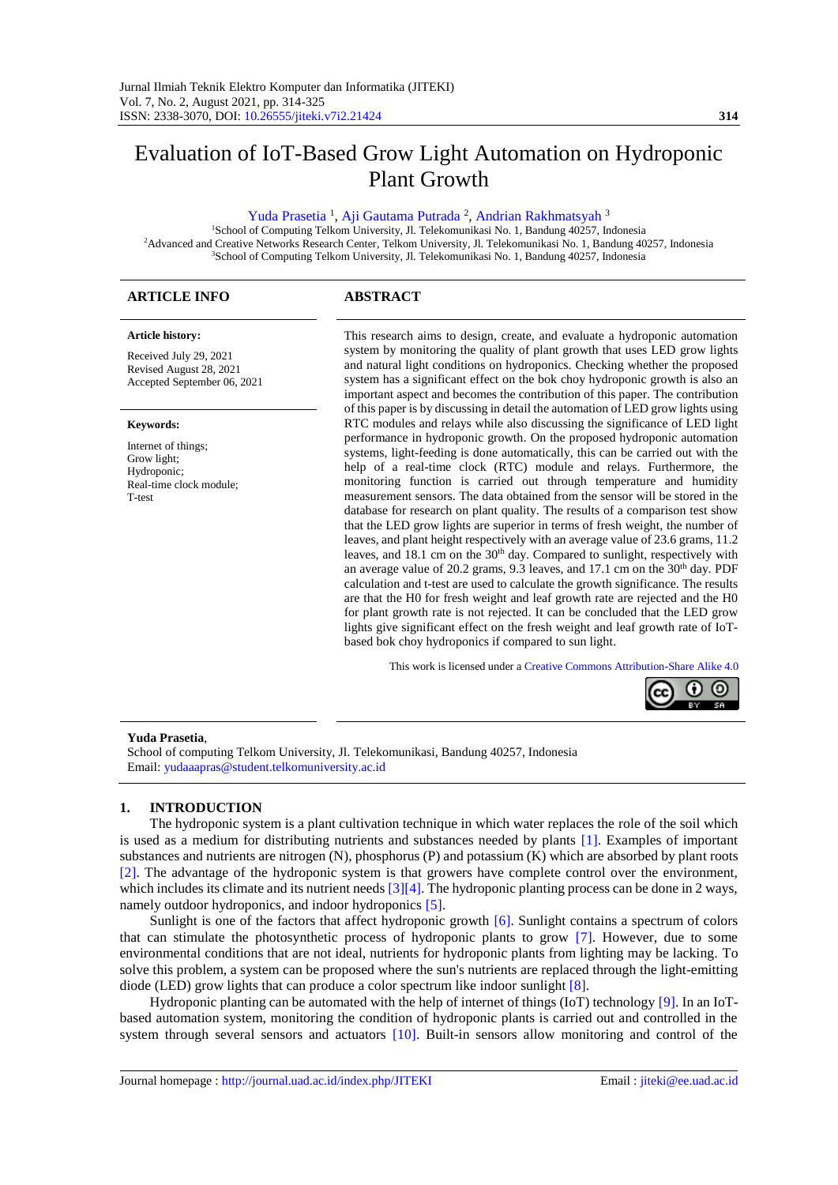## Evaluation of IoT-Based Grow Light Automation on Hydroponic Plant Growth

#### [Yuda Prasetia](#page-10-0)<sup>1</sup>[, Aji Gautama Putrada](#page-10-0)<sup>2</sup>, [Andrian Rakhmatsyah](#page-10-0)<sup>3</sup>

<sup>1</sup>School of Computing Telkom University, Jl. Telekomunikasi No. 1, Bandung 40257, Indonesia <sup>2</sup>Advanced and Creative Networks Research Center, Telkom University, Jl. Telekomunikasi No. 1, Bandung 40257, Indonesia <sup>3</sup>School of Computing Telkom University, Jl. Telekomunikasi No. 1, Bandung 40257, Indonesia

## **ARTICLE INFO ABSTRACT**

#### **Article history:**

Received July 29, 2021 Revised August 28, 2021 Accepted September 06, 2021

#### **Keywords:**

Internet of things; Grow light; Hydroponic; Real-time clock module; T-test

This research aims to design, create, and evaluate a hydroponic automation system by monitoring the quality of plant growth that uses LED grow lights and natural light conditions on hydroponics. Checking whether the proposed system has a significant effect on the bok choy hydroponic growth is also an important aspect and becomes the contribution of this paper. The contribution of this paper is by discussing in detail the automation of LED grow lights using RTC modules and relays while also discussing the significance of LED light performance in hydroponic growth. On the proposed hydroponic automation systems, light-feeding is done automatically, this can be carried out with the help of a real-time clock (RTC) module and relays. Furthermore, the monitoring function is carried out through temperature and humidity measurement sensors. The data obtained from the sensor will be stored in the database for research on plant quality. The results of a comparison test show that the LED grow lights are superior in terms of fresh weight, the number of leaves, and plant height respectively with an average value of 23.6 grams, 11.2 leaves, and 18.1 cm on the 30<sup>th</sup> day. Compared to sunlight, respectively with an average value of 20.2 grams, 9.3 leaves, and 17.1 cm on the  $30<sup>th</sup>$  day. PDF calculation and t-test are used to calculate the growth significance. The results are that the H0 for fresh weight and leaf growth rate are rejected and the H0 for plant growth rate is not rejected. It can be concluded that the LED grow lights give significant effect on the fresh weight and leaf growth rate of IoTbased bok choy hydroponics if compared to sun light.

This work is licensed under [a](https://creativecommons.org/licenses/by-sa/4.0/deed.id) Creative [Commons Attribution-Share Alike 4.0](https://creativecommons.org/licenses/by-sa/4.0/deed.id)

# റ ര

#### **Yuda Prasetia**,

School of computing Telkom University, Jl. Telekomunikasi, Bandung 40257, Indonesia Email[: yudaaapras@student.telkomuniversity.ac.id](mailto:yudaaapras@student.telkomuniversity.ac.id)

#### **1. INTRODUCTION**

The hydroponic system is a plant cultivation technique in which water replaces the role of the soil which is used as a medium for distributing nutrients and substances needed by plants [\[1\].](#page-9-0) Examples of important substances and nutrients are nitrogen (N), phosphorus (P) and potassium (K) which are absorbed by plant roots [\[2\].](#page-9-1) The advantage of the hydroponic system is that growers have complete control over the environment, which includes its climate and its nutrient needs  $\left[3\right]\left[4\right]$ . The hydroponic planting process can be done in 2 ways, namely outdoor hydroponics, and indoor hydroponics [\[5\].](#page-9-1)

Sunlight is one of the factors that affect hydroponic growth [\[6\].](#page-9-2) Sunlight contains a spectrum of colors that can stimulate the photosynthetic process of hydroponic plants to grow [\[7\].](#page-9-2) However, due to some environmental conditions that are not ideal, nutrients for hydroponic plants from lighting may be lacking. To solve this problem, a system can be proposed where the sun's nutrients are replaced through the light-emitting diode (LED) grow lights that can produce a color spectrum like indoor sunlight [\[8\].](#page-9-2)

Hydroponic planting can be automated with the help of internet of things (IoT) technology [\[9\].](#page-9-2) In an IoTbased automation system, monitoring the condition of hydroponic plants is carried out and controlled in the system through several sensors and actuators [\[10\].](#page-9-2) Built-in sensors allow monitoring and control of the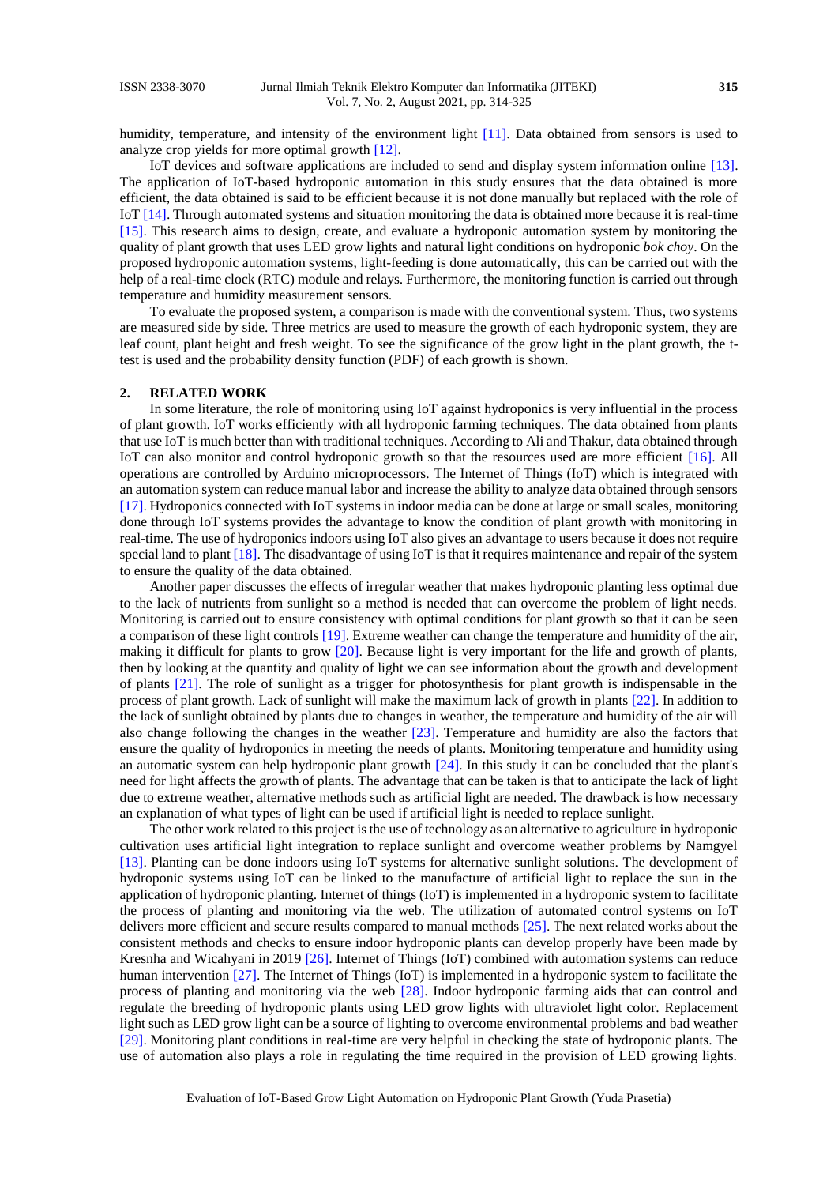humidity, temperature, and intensity of the environment light [\[11\].](#page-9-3) Data obtained from sensors is used to analyze crop yields for more optimal growth [\[12\].](#page-9-3)

IoT devices and software applications are included to send and display system information online [\[13\].](#page-9-3) The application of IoT-based hydroponic automation in this study ensures that the data obtained is more efficient, the data obtained is said to be efficient because it is not done manually but replaced with the role of Io[T \[14\].](#page-9-3) Through automated systems and situation monitoring the data is obtained more because it is real-time [\[15\].](#page-9-3) This research aims to design, create, and evaluate a hydroponic automation system by monitoring the quality of plant growth that uses LED grow lights and natural light conditions on hydroponic *bok choy*. On the proposed hydroponic automation systems, light-feeding is done automatically, this can be carried out with the help of a real-time clock (RTC) module and relays. Furthermore, the monitoring function is carried out through temperature and humidity measurement sensors.

To evaluate the proposed system, a comparison is made with the conventional system. Thus, two systems are measured side by side. Three metrics are used to measure the growth of each hydroponic system, they are leaf count, plant height and fresh weight. To see the significance of the grow light in the plant growth, the ttest is used and the probability density function (PDF) of each growth is shown.

#### **2. RELATED WORK**

In some literature, the role of monitoring using IoT against hydroponics is very influential in the process of plant growth. IoT works efficiently with all hydroponic farming techniques. The data obtained from plants that use IoT is much better than with traditional techniques. According to Ali and Thakur, data obtained through IoT can also monitor and control hydroponic growth so that the resources used are more efficient [\[16\].](#page-10-1) All operations are controlled by Arduino microprocessors. The Internet of Things (IoT) which is integrated with an automation system can reduce manual labor and increase the ability to analyze data obtained through sensors [\[17\].](#page-10-1) Hydroponics connected with IoT systems in indoor media can be done at large or small scales, monitoring done through IoT systems provides the advantage to know the condition of plant growth with monitoring in real-time. The use of hydroponics indoors using IoT also gives an advantage to users because it does not require special land to plant [\[18\].](#page-10-1) The disadvantage of using IoT is that it requires maintenance and repair of the system to ensure the quality of the data obtained.

Another paper discusses the effects of irregular weather that makes hydroponic planting less optimal due to the lack of nutrients from sunlight so a method is needed that can overcome the problem of light needs. Monitoring is carried out to ensure consistency with optimal conditions for plant growth so that it can be seen a comparison of these light controls [\[19\].](#page-10-1) Extreme weather can change the temperature and humidity of the air, making it difficult for plants to grow [\[20\].](#page-10-1) Because light is very important for the life and growth of plants, then by looking at the quantity and quality of light we can see information about the growth and development of plants [\[21\].](#page-10-2) The role of sunlight as a trigger for photosynthesis for plant growth is indispensable in the process of plant growth. Lack of sunlight will make the maximum lack of growth in plants [\[22\].](#page-10-2) In addition to the lack of sunlight obtained by plants due to changes in weather, the temperature and humidity of the air will also change following the changes in the weather [\[23\].](#page-10-2) Temperature and humidity are also the factors that ensure the quality of hydroponics in meeting the needs of plants. Monitoring temperature and humidity using an automatic system can help hydroponic plant growth [\[24\].](#page-10-2) In this study it can be concluded that the plant's need for light affects the growth of plants. The advantage that can be taken is that to anticipate the lack of light due to extreme weather, alternative methods such as artificial light are needed. The drawback is how necessary an explanation of what types of light can be used if artificial light is needed to replace sunlight.

The other work related to this project is the use of technology as an alternative to agriculture in hydroponic cultivation uses artificial light integration to replace sunlight and overcome weather problems by Namgyel [\[13\].](#page-9-3) Planting can be done indoors using IoT systems for alternative sunlight solutions. The development of hydroponic systems using IoT can be linked to the manufacture of artificial light to replace the sun in the application of hydroponic planting. Internet of things (IoT) is implemented in a hydroponic system to facilitate the process of planting and monitoring via the web. The utilization of automated control systems on IoT delivers more efficient and secure results compared to manual methods [\[25\].](#page-10-2) The next related works about the consistent methods and checks to ensure indoor hydroponic plants can develop properly have been made by Kresnha and Wicahyani in 2019 [\[26\].](#page-10-3) Internet of Things (IoT) combined with automation systems can reduce human intervention [\[27\].](#page-10-3) The Internet of Things (IoT) is implemented in a hydroponic system to facilitate the process of planting and monitoring via the web [\[28\].](#page-10-3) Indoor hydroponic farming aids that can control and regulate the breeding of hydroponic plants using LED grow lights with ultraviolet light color. Replacement light such as LED grow light can be a source of lighting to overcome environmental problems and bad weather [\[29\].](#page-10-3) Monitoring plant conditions in real-time are very helpful in checking the state of hydroponic plants. The use of automation also plays a role in regulating the time required in the provision of LED growing lights.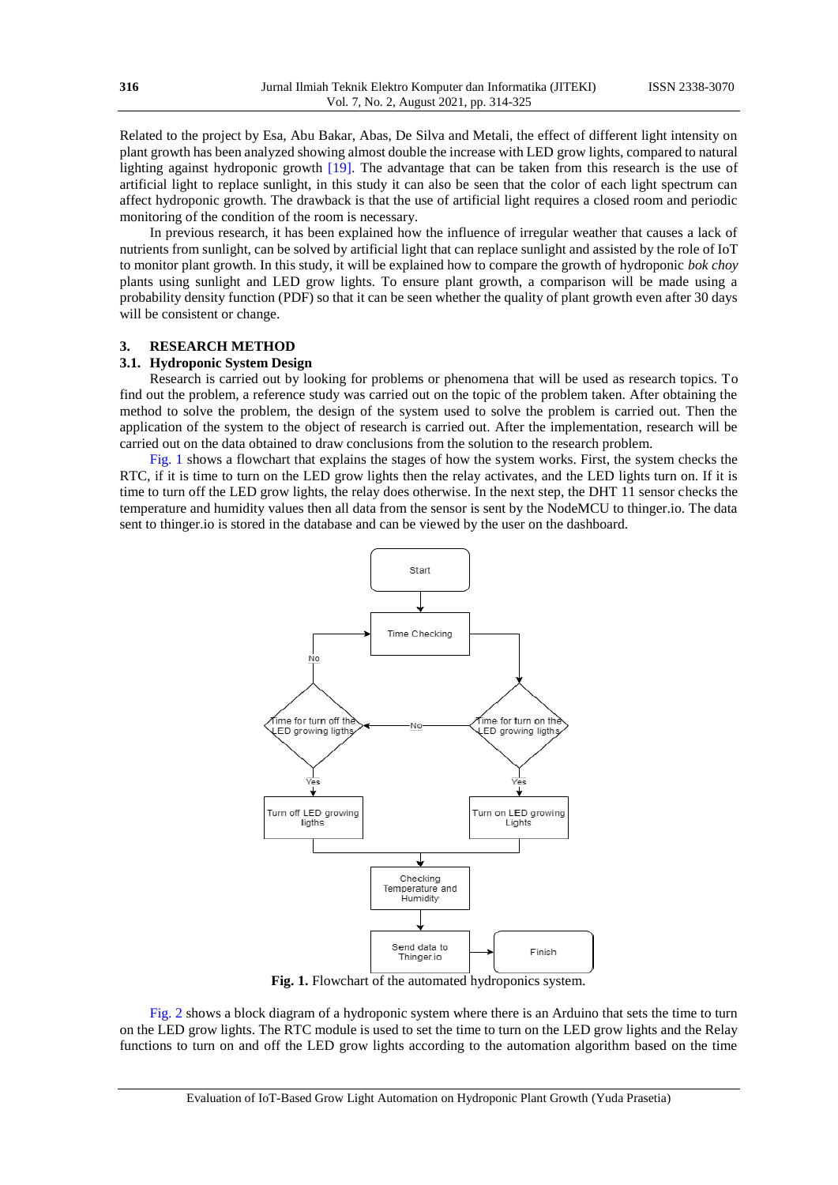Related to the project by Esa, Abu Bakar, Abas, De Silva and Metali, the effect of different light intensity on plant growth has been analyzed showing almost double the increase with LED grow lights, compared to natural lighting against hydroponic growth [\[19\].](#page-10-1) The advantage that can be taken from this research is the use of artificial light to replace sunlight, in this study it can also be seen that the color of each light spectrum can affect hydroponic growth. The drawback is that the use of artificial light requires a closed room and periodic monitoring of the condition of the room is necessary.

In previous research, it has been explained how the influence of irregular weather that causes a lack of nutrients from sunlight, can be solved by artificial light that can replace sunlight and assisted by the role of IoT to monitor plant growth. In this study, it will be explained how to compare the growth of hydroponic *bok choy* plants using sunlight and LED grow lights. To ensure plant growth, a comparison will be made using a probability density function (PDF) so that it can be seen whether the quality of plant growth even after 30 days will be consistent or change.

#### **3. RESEARCH METHOD**

#### **3.1. Hydroponic System Design**

Research is carried out by looking for problems or phenomena that will be used as research topics. To find out the problem, a reference study was carried out on the topic of the problem taken. After obtaining the method to solve the problem, the design of the system used to solve the problem is carried out. Then the application of the system to the object of research is carried out. After the implementation, research will be carried out on the data obtained to draw conclusions from the solution to the research problem.

<span id="page-2-0"></span>[Fig. 1](#page-2-0) shows a flowchart that explains the stages of how the system works. First, the system checks the RTC, if it is time to turn on the LED grow lights then the relay activates, and the LED lights turn on. If it is time to turn off the LED grow lights, the relay does otherwise. In the next step, the DHT 11 sensor checks the temperature and humidity values then all data from the sensor is sent by the NodeMCU to thinger.io. The data sent to thinger.io is stored in the database and can be viewed by the user on the dashboard.



**Fig. 1.** Flowchart of the automated hydroponics system.

[Fig. 2](#page-3-0) shows a block diagram of a hydroponic system where there is an Arduino that sets the time to turn on the LED grow lights. The RTC module is used to set the time to turn on the LED grow lights and the Relay functions to turn on and off the LED grow lights according to the automation algorithm based on the time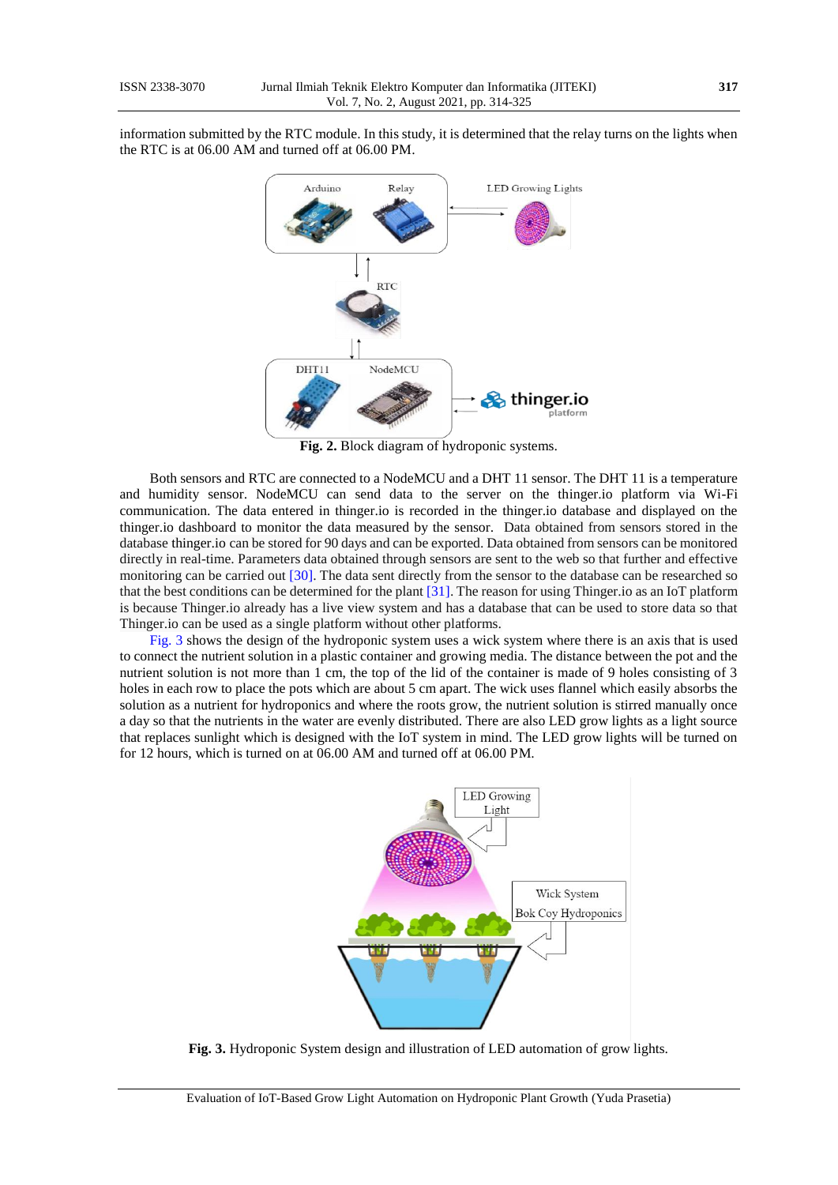<span id="page-3-0"></span>information submitted by the RTC module. In this study, it is determined that the relay turns on the lights when the RTC is at 06.00 AM and turned off at 06.00 PM.



**Fig. 2.** Block diagram of hydroponic systems.

Both sensors and RTC are connected to a NodeMCU and a DHT 11 sensor. The DHT 11 is a temperature and humidity sensor. NodeMCU can send data to the server on the thinger.io platform via Wi-Fi communication. The data entered in thinger.io is recorded in the thinger.io database and displayed on the thinger.io dashboard to monitor the data measured by the sensor. Data obtained from sensors stored in the database [thinger.io](https://ssl.microsofttranslator.com/bv.aspx?ref=TAns&from=&to=en&a=thinger.io) can be stored for 90 days and can be exported. Data obtained from sensors can be monitored directly in real-time. Parameters data obtained through sensors are sent to the web so that further and effective monitoring can be carried ou[t \[30\].](#page-10-3) The data sent directly from the sensor to the database can be researched so that the best conditions can be determined for the plant [\[31\].](#page-10-4) The reason for using Thinger.io as an IoT platform is because Thinger.io already has a live view system and has a database that can be used to store data so that Thinger.io can be used as a single platform without other platforms.

<span id="page-3-1"></span>[Fig. 3](#page-3-1) shows the design of the hydroponic system uses a wick system where there is an axis that is used to connect the nutrient solution in a plastic container and growing media. The distance between the pot and the nutrient solution is not more than 1 cm, the top of the lid of the container is made of 9 holes consisting of 3 holes in each row to place the pots which are about 5 cm apart. The wick uses flannel which easily absorbs the solution as a nutrient for hydroponics and where the roots grow, the nutrient solution is stirred manually once a day so that the nutrients in the water are evenly distributed. There are also LED grow lights as a light source that replaces sunlight which is designed with the IoT system in mind. The LED grow lights will be turned on for 12 hours, which is turned on at 06.00 AM and turned off at 06.00 PM.



**Fig. 3.** Hydroponic System design and illustration of LED automation of grow lights.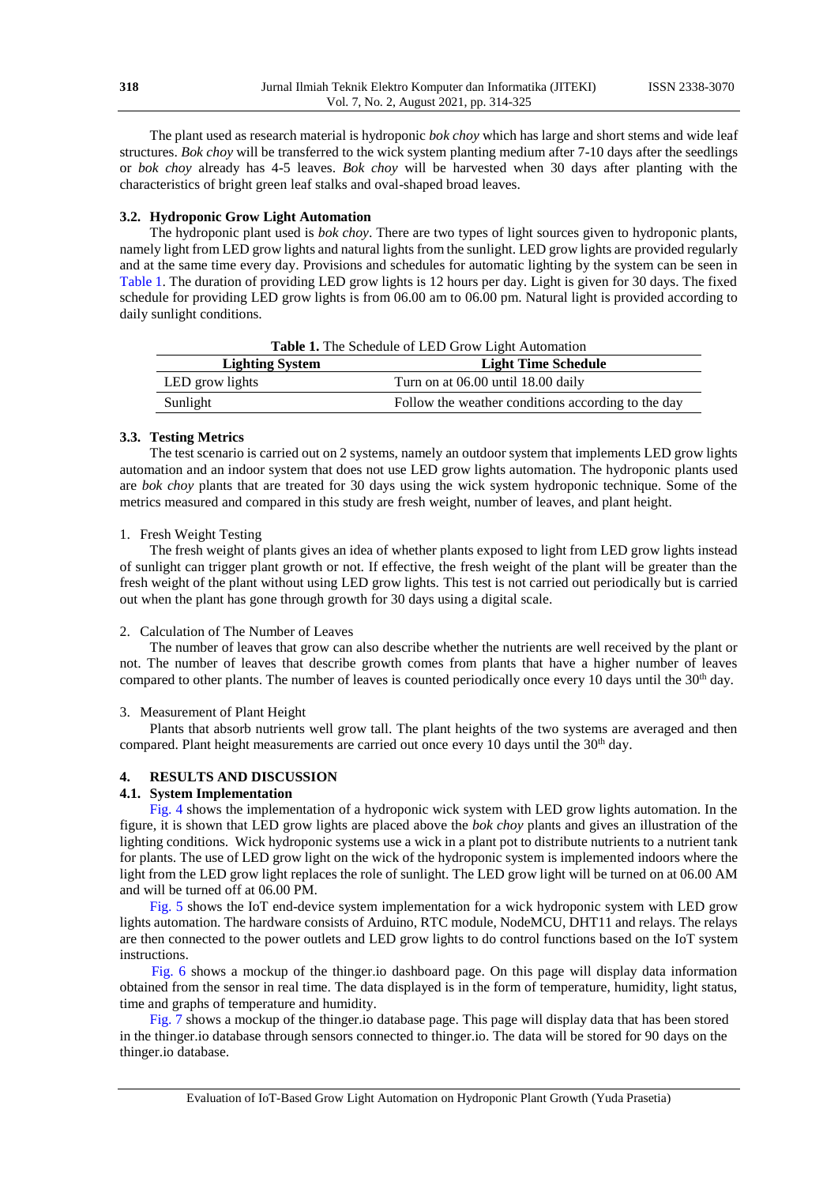The plant used as research material is hydroponic *bok choy* which has large and short stems and wide leaf structures. *Bok choy* will be transferred to the wick system planting medium after 7-10 days after the seedlings or *bok choy* already has 4-5 leaves. *Bok choy* will be harvested when 30 days after planting with the characteristics of bright green leaf stalks and oval-shaped broad leaves.

#### **3.2. Hydroponic Grow Light Automation**

The hydroponic plant used is *bok choy*. There are two types of light sources given to hydroponic plants, namely light from LED grow lights and natural lights from the sunlight. LED grow lights are provided regularly and at the same time every day. Provisions and schedules for automatic lighting by the system can be seen in [Table 1.](#page-4-0) The duration of providing LED grow lights is 12 hours per day. Light is given for 30 days. The fixed schedule for providing LED grow lights is from 06.00 am to 06.00 pm. Natural light is provided according to daily sunlight conditions.

<span id="page-4-0"></span>

| Table 1. The Schedule of LED Grow Light Automation   |                                                    |  |  |  |
|------------------------------------------------------|----------------------------------------------------|--|--|--|
| <b>Light Time Schedule</b><br><b>Lighting System</b> |                                                    |  |  |  |
| LED grow lights                                      | Turn on at 06.00 until 18.00 daily                 |  |  |  |
| Sunlight                                             | Follow the weather conditions according to the day |  |  |  |

#### **3.3. Testing Metrics**

The test scenario is carried out on 2 systems, namely an outdoor system that implements LED grow lights automation and an indoor system that does not use LED grow lights automation. The hydroponic plants used are *bok choy* plants that are treated for 30 days using the wick system hydroponic technique. Some of the metrics measured and compared in this study are fresh weight, number of leaves, and plant height.

#### 1. Fresh Weight Testing

The fresh weight of plants gives an idea of whether plants exposed to light from LED grow lights instead of sunlight can trigger plant growth or not. If effective, the fresh weight of the plant will be greater than the fresh weight of the plant without using LED grow lights. This test is not carried out periodically but is carried out when the plant has gone through growth for 30 days using a digital scale.

#### 2. Calculation of The Number of Leaves

The number of leaves that grow can also describe whether the nutrients are well received by the plant or not. The number of leaves that describe growth comes from plants that have a higher number of leaves compared to other plants. The number of leaves is counted periodically once every 10 days until the  $30<sup>th</sup>$  day.

#### 3. Measurement of Plant Height

Plants that absorb nutrients well grow tall. The plant heights of the two systems are averaged and then compared. Plant height measurements are carried out once every 10 days until the 30<sup>th</sup> day.

### **4. RESULTS AND DISCUSSION**

#### **4.1. System Implementation**

[Fig. 4](#page-5-0) shows the implementation of a hydroponic wick system with LED grow lights automation. In the figure, it is shown that LED grow lights are placed above the *bok choy* plants and gives an illustration of the lighting conditions. Wick hydroponic systems use a wick in a plant pot to distribute nutrients to a nutrient tank for plants. The use of LED grow light on the wick of the hydroponic system is implemented indoors where the light from the LED grow light replaces the role of sunlight. The LED grow light will be turned on at 06.00 AM and will be turned off at 06.00 PM.

[Fig. 5](#page-5-1) shows the IoT end-device system implementation for a wick hydroponic system with LED grow lights automation. The hardware consists of Arduino, RTC module, NodeMCU, DHT11 and relays. The relays are then connected to the power outlets and LED grow lights to do control functions based on the IoT system instructions.

[Fig. 6](#page-5-2) shows a mockup of the thinger.io dashboard page. On this page will display data information obtained from the sensor in real time. The data displayed is in the form of temperature, humidity, light status, time and graphs of temperature and humidity.

[Fig. 7](#page-6-0) shows a mockup of the thinger.io database page. This page will display data that has been stored in the thinger.io database through sensors connected to thinger.io. The data will be stored for 90 days on the thinger.io database.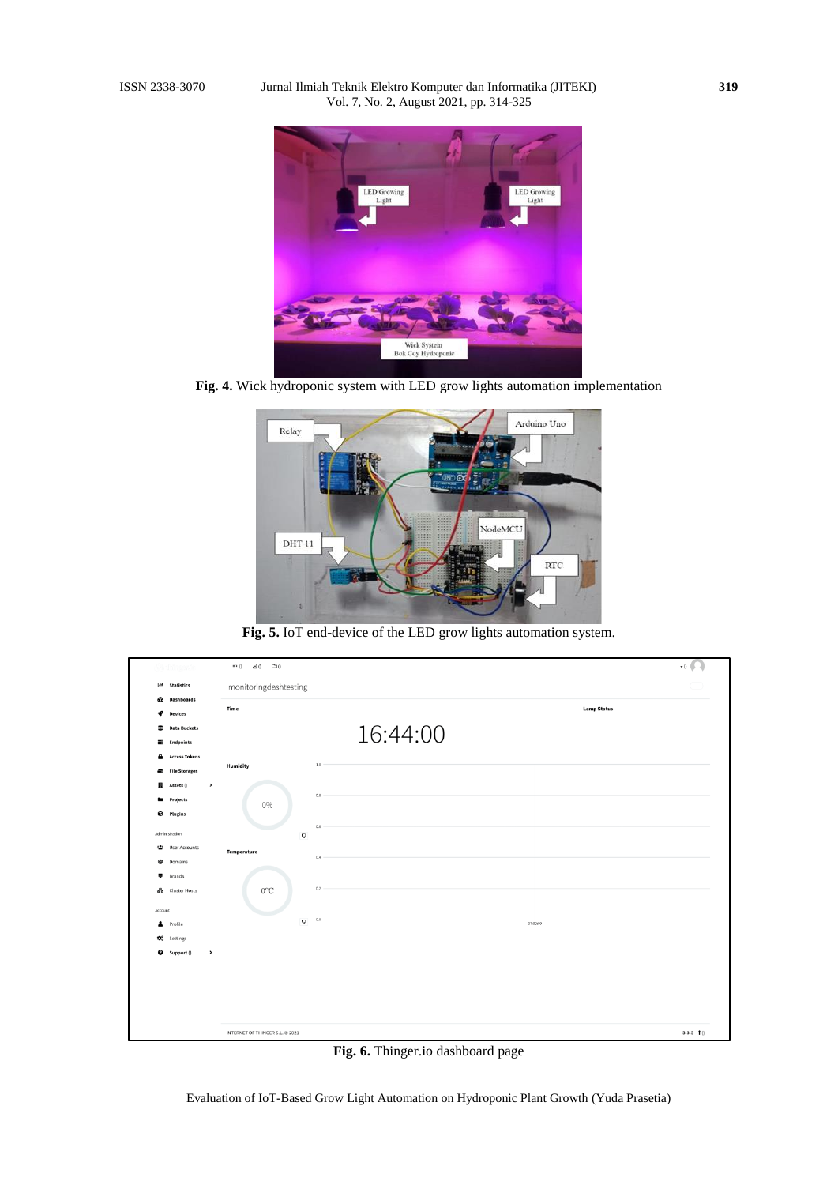<span id="page-5-0"></span>

<span id="page-5-1"></span>**Fig. 4.** Wick hydroponic system with LED grow lights automation implementation



**Fig. 5.** IoT end-device of the LED grow lights automation system.

<span id="page-5-2"></span>

| <u>d'h</u> thingeric           | $\Xi$ 0<br>80<br>$\square$ ()   |          |                    | $\cdot$ <sub>0</sub> $\bigcap$ |
|--------------------------------|---------------------------------|----------|--------------------|--------------------------------|
| 브 Statistics                   | monitoringdashtesting           |          |                    |                                |
| ଈ<br><b>Dashboards</b>         | Time                            |          | <b>Lamp Status</b> |                                |
| €<br><b>Devices</b>            |                                 |          |                    |                                |
| 9<br><b>Data Buckets</b>       |                                 | 16:44:00 |                    |                                |
| <b>E</b> Endpoints             |                                 |          |                    |                                |
| А<br><b>Access Tokens</b>      | <b>Humidity</b>                 | $1.0\,$  |                    |                                |
| <b>File Storages</b><br>≞      |                                 |          |                    |                                |
| щ<br>Assets ()<br>$\,$         |                                 | 0.8      |                    |                                |
| Projects                       | 0%                              |          |                    |                                |
| €<br><b>Plugins</b>            |                                 |          |                    |                                |
| Administration                 | Q                               | 0.6      |                    |                                |
| <b>卷</b> User Accounts         | Temperature                     |          |                    |                                |
| @<br>Domains                   |                                 | 0.4      |                    |                                |
| ٠<br>Brands                    |                                 |          |                    |                                |
| on Cluster Hosts               | $0^{\circ}$ C                   | 0.2      |                    |                                |
| Account                        |                                 |          |                    |                                |
| ∸<br>Profile                   | O                               | 0.0      | 07:00:00           |                                |
| <b>D</b> <sup>o</sup> Settings |                                 |          |                    |                                |
| $\bullet$ Support ()<br>$\,$   |                                 |          |                    |                                |
|                                |                                 |          |                    |                                |
|                                |                                 |          |                    |                                |
|                                |                                 |          |                    |                                |
|                                |                                 |          |                    |                                |
|                                |                                 |          |                    |                                |
|                                | INTERNET OF THINGER S.L. @ 2021 |          |                    | 3.3.3 f                        |

**Fig. 6.** Thinger.io dashboard page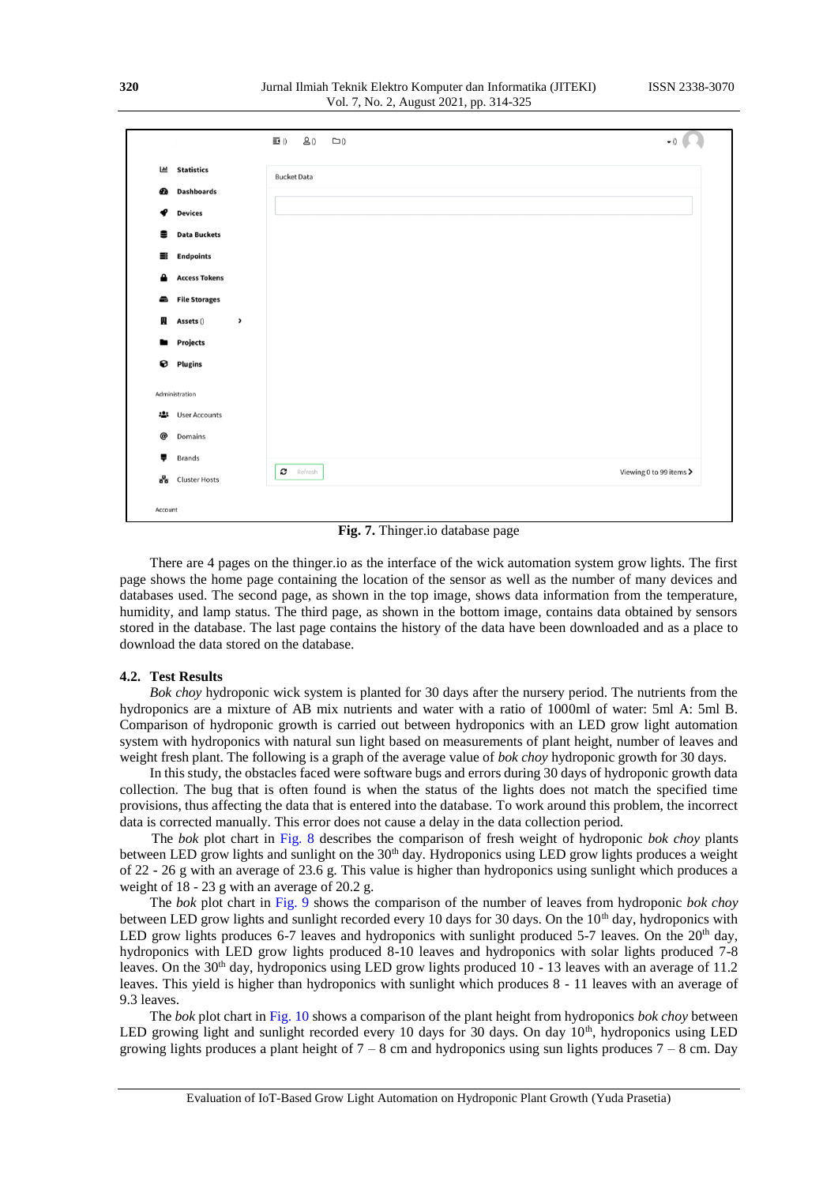<span id="page-6-0"></span>

|                            | $\equiv$ 0         | $8()$ $\square$ 0<br>$\bullet$ () $\blacksquare$ |
|----------------------------|--------------------|--------------------------------------------------|
| <b>Statistics</b><br>ш     | <b>Bucket Data</b> |                                                  |
| <b>Dashboards</b><br>Ø     |                    |                                                  |
| <b>Devices</b><br>ℯ        |                    |                                                  |
| <b>Data Buckets</b><br>을   |                    |                                                  |
| <b>Endpoints</b><br>≡      |                    |                                                  |
| <b>Access Tokens</b><br>≏  |                    |                                                  |
| <b>File Storages</b><br>÷  |                    |                                                  |
| Ш<br>Assets ()             | $\,$               |                                                  |
| <b>Projects</b><br>٠       |                    |                                                  |
| <b>Q</b> Plugins           |                    |                                                  |
| Administration             |                    |                                                  |
| <b>User Accounts</b><br>-2 |                    |                                                  |
| @<br>Domains               |                    |                                                  |
| ÷<br>Brands                |                    |                                                  |
| 몲<br><b>Cluster Hosts</b>  | c                  | Viewing 0 to 99 items ><br>Refresh               |

**Fig. 7.** Thinger.io database page

There are 4 pages on the thinger.io as the interface of the wick automation system grow lights. The first page shows the home page containing the location of the sensor as well as the number of many devices and databases used. The second page, as shown in the top image, shows data information from the temperature, humidity, and lamp status. The third page, as shown in the bottom image, contains data obtained by sensors stored in the database. The last page contains the history of the data have been downloaded and as a place to download the data stored on the database.

#### **4.2. Test Results**

*Bok choy* hydroponic wick system is planted for 30 days after the nursery period. The nutrients from the hydroponics are a mixture of AB mix nutrients and water with a ratio of 1000ml of water: 5ml A: 5ml B. Comparison of hydroponic growth is carried out between hydroponics with an LED grow light automation system with hydroponics with natural sun light based on measurements of plant height, number of leaves and weight fresh plant. The following is a graph of the average value of *bok choy* hydroponic growth for 30 days.

In this study, the obstacles faced were software bugs and errors during 30 days of hydroponic growth data collection. The bug that is often found is when the status of the lights does not match the specified time provisions, thus affecting the data that is entered into the database. To work around this problem, the incorrect data is corrected manually. This error does not cause a delay in the data collection period.

The *bok* plot chart in [Fig. 8](#page-7-0) describes the comparison of fresh weight of hydroponic *bok choy* plants between LED grow lights and sunlight on the 30<sup>th</sup> day. Hydroponics using LED grow lights produces a weight of 22 - 26 g with an average of 23.6 g. This value is higher than hydroponics using sunlight which produces a weight of 18 - 23 g with an average of 20.2 g.

The *bok* plot chart in [Fig. 9](#page-7-1) shows the comparison of the number of leaves from hydroponic *bok choy* between LED grow lights and sunlight recorded every 10 days for 30 days. On the  $10<sup>th</sup>$  day, hydroponics with LED grow lights produces 6-7 leaves and hydroponics with sunlight produced 5-7 leaves. On the  $20<sup>th</sup>$  day, hydroponics with LED grow lights produced 8-10 leaves and hydroponics with solar lights produced 7-8 leaves. On the 30<sup>th</sup> day, hydroponics using LED grow lights produced 10 - 13 leaves with an average of 11.2 leaves. This yield is higher than hydroponics with sunlight which produces 8 - 11 leaves with an average of 9.3 leaves.

The *bok* plot chart i[n Fig. 10](#page-7-2) shows a comparison of the plant height from hydroponics *bok choy* between LED growing light and sunlight recorded every 10 days for 30 days. On day  $10<sup>th</sup>$ , hydroponics using LED growing lights produces a plant height of  $7 - 8$  cm and hydroponics using sun lights produces  $7 - 8$  cm. Day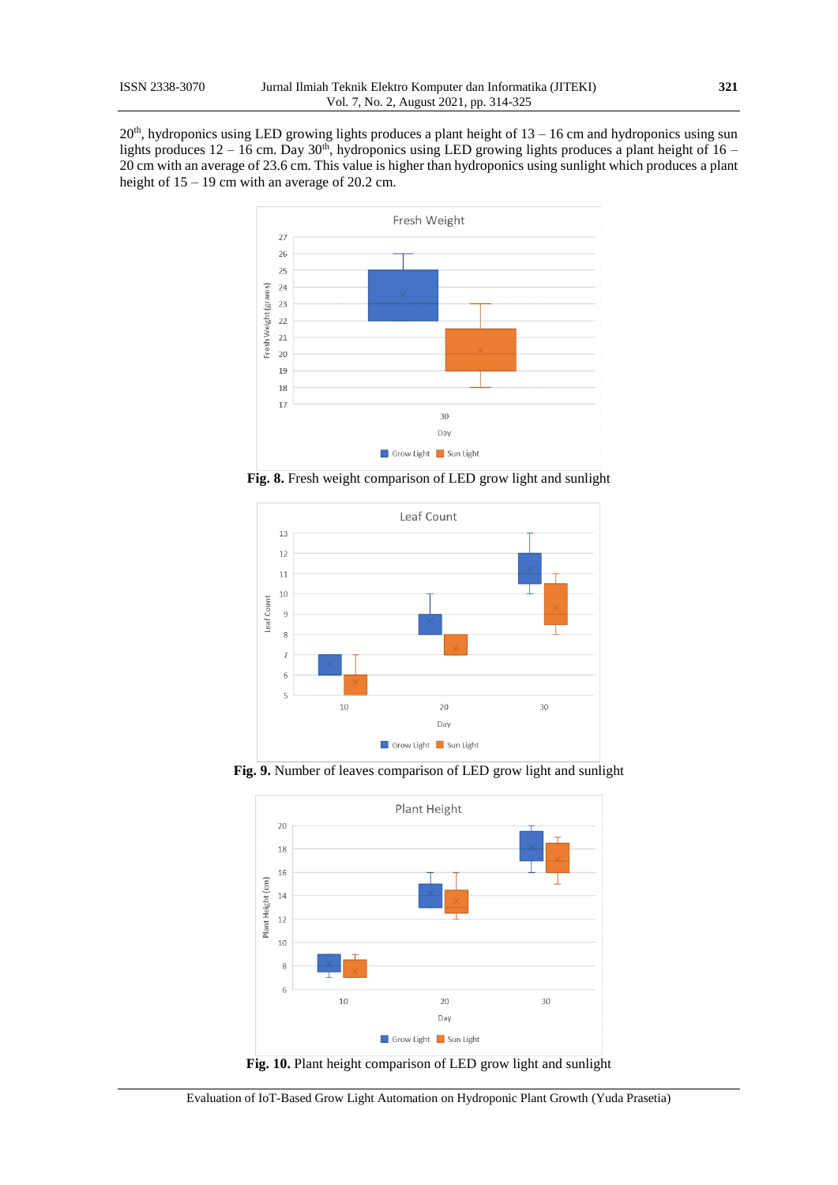<span id="page-7-0"></span> $20<sup>th</sup>$ , hydroponics using LED growing lights produces a plant height of  $13 - 16$  cm and hydroponics using sun lights produces  $12 - 16$  cm. Day  $30<sup>th</sup>$ , hydroponics using LED growing lights produces a plant height of  $16 -$ 20 cm with an average of 23.6 cm. This value is higher than hydroponics using sunlight which produces a plant height of  $15 - 19$  cm with an average of 20.2 cm.



**Fig. 8.** Fresh weight comparison of LED grow light and sunlight

<span id="page-7-1"></span>

<span id="page-7-2"></span>**Fig. 9.** Number of leaves comparison of LED grow light and sunlight



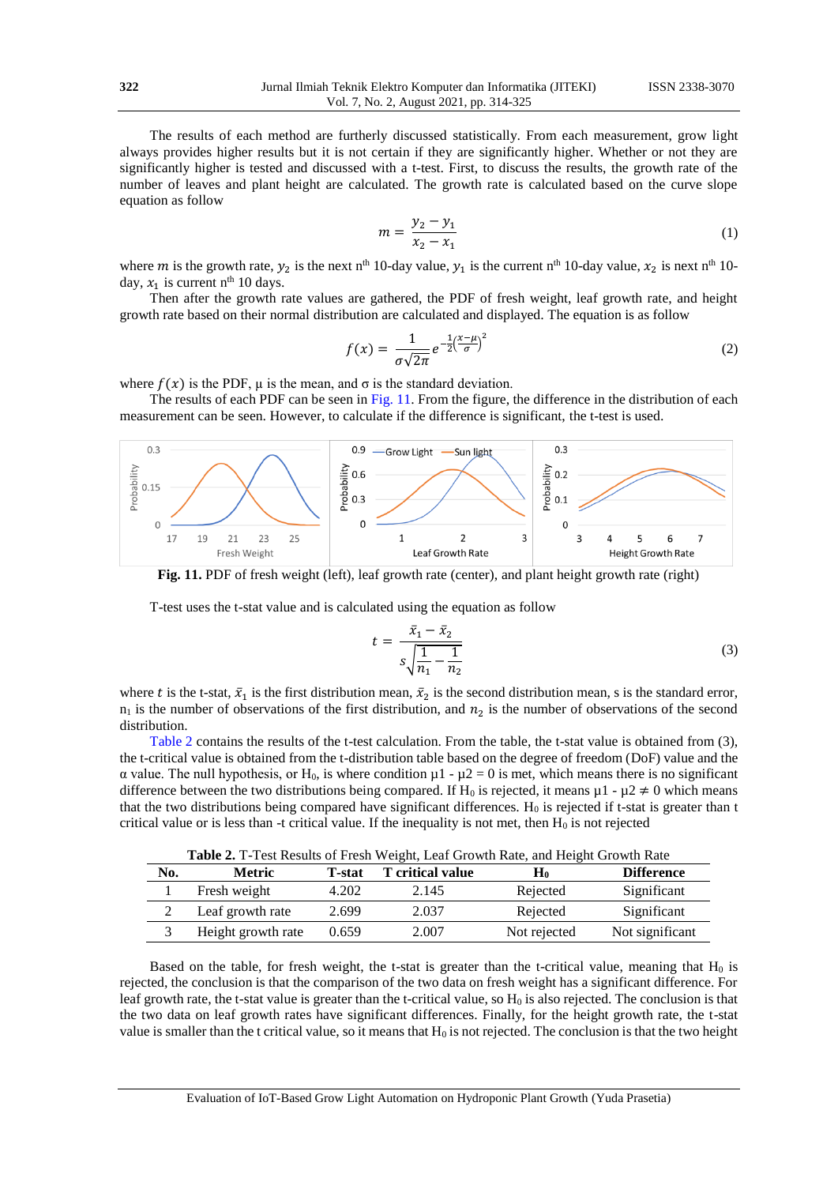The results of each method are furtherly discussed statistically. From each measurement, grow light always provides higher results but it is not certain if they are significantly higher. Whether or not they are significantly higher is tested and discussed with a t-test. First, to discuss the results, the growth rate of the number of leaves and plant height are calculated. The growth rate is calculated based on the curve slope equation as follow

$$
m = \frac{y_2 - y_1}{x_2 - x_1} \tag{1}
$$

where m is the growth rate,  $y_2$  is the next n<sup>th</sup> 10-day value,  $y_1$  is the current n<sup>th</sup> 10-day value,  $x_2$  is next n<sup>th</sup> 10day,  $x_1$  is current n<sup>th</sup> 10 days.

Then after the growth rate values are gathered, the PDF of fresh weight, leaf growth rate, and height growth rate based on their normal distribution are calculated and displayed. The equation is as follow

$$
f(x) = \frac{1}{\sigma\sqrt{2\pi}}e^{-\frac{1}{2}\left(\frac{x-\mu}{\sigma}\right)^2}
$$
 (2)

where  $f(x)$  is the PDF,  $\mu$  is the mean, and  $\sigma$  is the standard deviation.

The results of each PDF can be seen i[n Fig. 11.](#page-8-0) From the figure, the difference in the distribution of each measurement can be seen. However, to calculate if the difference is significant, the t-test is used.

<span id="page-8-0"></span>

**Fig. 11.** PDF of fresh weight (left), leaf growth rate (center), and plant height growth rate (right)

T-test uses the t-stat value and is calculated using the equation as follow

$$
t = \frac{\bar{x}_1 - \bar{x}_2}{s\sqrt{\frac{1}{n_1} - \frac{1}{n_2}}} \tag{3}
$$

where t is the t-stat,  $\bar{x}_1$  is the first distribution mean,  $\bar{x}_2$  is the second distribution mean, s is the standard error,  $n_1$  is the number of observations of the first distribution, and  $n_2$  is the number of observations of the second distribution.

[Table 2](#page-8-1) contains the results of the t-test calculation. From the table, the t-stat value is obtained from (3), the t-critical value is obtained from the t-distribution table based on the degree of freedom (DoF) value and the α value. The null hypothesis, or H<sub>0</sub>, is where condition  $μ1 - μ2 = 0$  is met, which means there is no significant difference between the two distributions being compared. If H<sub>0</sub> is rejected, it means  $\mu$ 1 -  $\mu$ 2  $\neq$  0 which means that the two distributions being compared have significant differences.  $H_0$  is rejected if t-stat is greater than t critical value or is less than -t critical value. If the inequality is not met, then  $H_0$  is not rejected

**Table 2.** T-Test Results of Fresh Weight, Leaf Growth Rate, and Height Growth Rate

<span id="page-8-1"></span>

| No. | <b>Metric</b>      | T-stat | <b>T</b> critical value | H0           | <b>Difference</b> |
|-----|--------------------|--------|-------------------------|--------------|-------------------|
|     | Fresh weight       | 4.202  | 2.145                   | Rejected     | Significant       |
|     | Leaf growth rate   | 2.699  | 2.037                   | Rejected     | Significant       |
|     | Height growth rate | 0.659  | 2.007                   | Not rejected | Not significant   |

Based on the table, for fresh weight, the t-stat is greater than the t-critical value, meaning that  $H_0$  is rejected, the conclusion is that the comparison of the two data on fresh weight has a significant difference. For leaf growth rate, the t-stat value is greater than the t-critical value, so  $H_0$  is also rejected. The conclusion is that the two data on leaf growth rates have significant differences. Finally, for the height growth rate, the t-stat value is smaller than the t critical value, so it means that  $H_0$  is not rejected. The conclusion is that the two height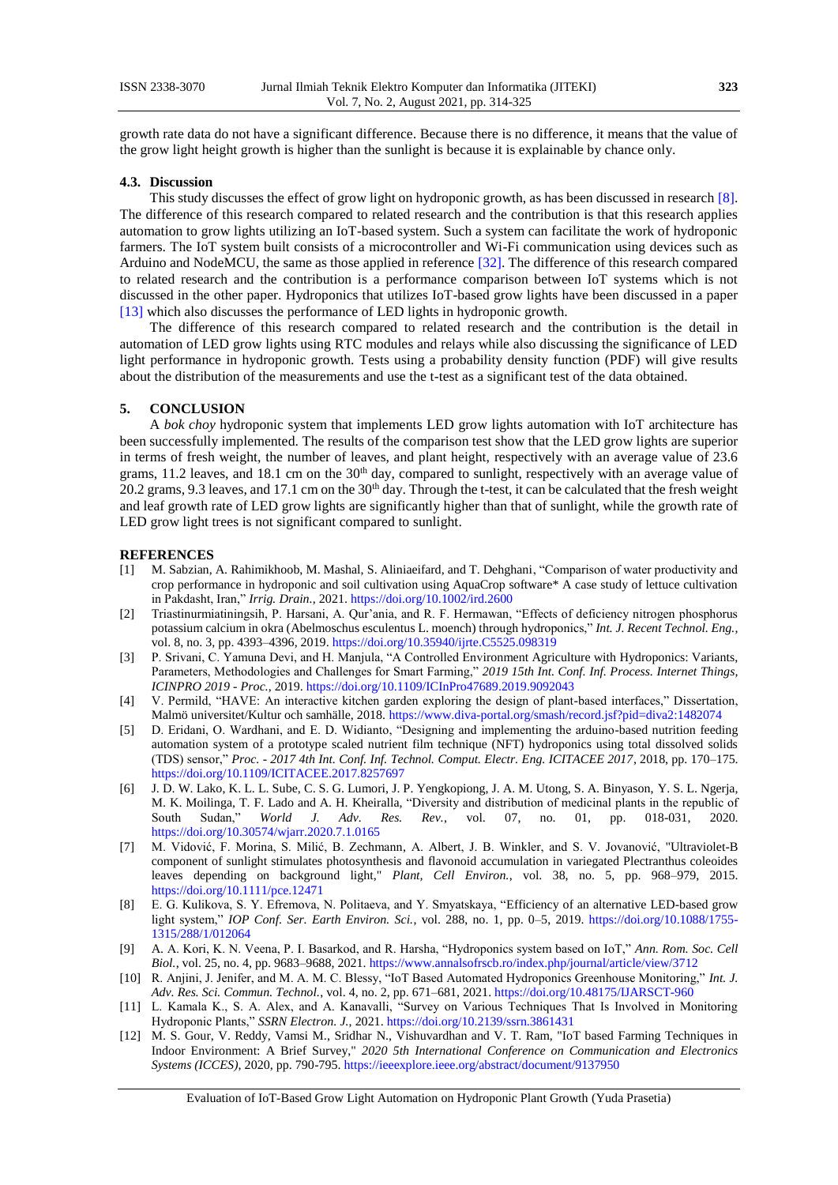growth rate data do not have a significant difference. Because there is no difference, it means that the value of the grow light height growth is higher than the sunlight is because it is explainable by chance only.

#### **4.3. Discussion**

This study discusses the effect of grow light on hydroponic growth, as has been discussed in research [\[8\].](#page-9-2) The difference of this research compared to related research and the contribution is that this research applies automation to grow lights utilizing an IoT-based system. Such a system can facilitate the work of hydroponic farmers. The IoT system built consists of a microcontroller and Wi-Fi communication using devices such as Arduino and NodeMCU, the same as those applied in referenc[e \[32\].](#page-10-4) The difference of this research compared to related research and the contribution is a performance comparison between IoT systems which is not discussed in the other paper. Hydroponics that utilizes IoT-based grow lights have been discussed in a paper [\[13\]](#page-9-3) which also discusses the performance of LED lights in hydroponic growth.

The difference of this research compared to related research and the contribution is the detail in automation of LED grow lights using RTC modules and relays while also discussing the significance of LED light performance in hydroponic growth. Tests using a probability density function (PDF) will give results about the distribution of the measurements and use the t-test as a significant test of the data obtained.

#### **5. CONCLUSION**

A *bok choy* hydroponic system that implements LED grow lights automation with IoT architecture has been successfully implemented. The results of the comparison test show that the LED grow lights are superior in terms of fresh weight, the number of leaves, and plant height, respectively with an average value of 23.6 grams, 11.2 leaves, and 18.1 cm on the  $30<sup>th</sup>$  day, compared to sunlight, respectively with an average value of 20.2 grams, 9.3 leaves, and 17.1 cm on the 30<sup>th</sup> day. Through the t-test, it can be calculated that the fresh weight and leaf growth rate of LED grow lights are significantly higher than that of sunlight, while the growth rate of LED grow light trees is not significant compared to sunlight.

#### **REFERENCES**

- <span id="page-9-0"></span>[1] M. Sabzian, A. Rahimikhoob, M. Mashal, S. Aliniaeifard, and T. Dehghani, "Comparison of water productivity and crop performance in hydroponic and soil cultivation using AquaCrop software\* A case study of lettuce cultivation in Pakdasht, Iran," *Irrig. Drain.*, 2021. <https://doi.org/10.1002/ird.2600>
- <span id="page-9-1"></span>[2] Triastinurmiatiningsih, P. Harsani, A. Qur'ania, and R. F. Hermawan, "Effects of deficiency nitrogen phosphorus potassium calcium in okra (Abelmoschus esculentus L. moench) through hydroponics," *Int. J. Recent Technol. Eng.*, vol. 8, no. 3, pp. 4393–4396, 2019[. https://doi.org/10.35940/ijrte.C5525.098319](https://doi.org/10.35940/ijrte.C5525.098319)
- [3] P. Srivani, C. Yamuna Devi, and H. Manjula, "A Controlled Environment Agriculture with Hydroponics: Variants, Parameters, Methodologies and Challenges for Smart Farming," *2019 15th Int. Conf. Inf. Process. Internet Things, ICINPRO 2019 - Proc.*, 2019. <https://doi.org/10.1109/ICInPro47689.2019.9092043>
- [4] V. Permild, "HAVE: An interactive kitchen garden exploring the design of plant-based interfaces," Dissertation, Malmö universitet/Kultur och samhälle, 2018. <https://www.diva-portal.org/smash/record.jsf?pid=diva2:1482074>
- [5] D. Eridani, O. Wardhani, and E. D. Widianto, "Designing and implementing the arduino-based nutrition feeding automation system of a prototype scaled nutrient film technique (NFT) hydroponics using total dissolved solids (TDS) sensor," *Proc. - 2017 4th Int. Conf. Inf. Technol. Comput. Electr. Eng. ICITACEE 2017*, 2018, pp. 170–175. <https://doi.org/10.1109/ICITACEE.2017.8257697>
- <span id="page-9-2"></span>[6] J. D. W. Lako, K. L. L. Sube, C. S. G. Lumori, J. P. Yengkopiong, J. A. M. Utong, S. A. Binyason, Y. S. L. Ngerja, M. K. Moilinga, T. F. Lado and A. H. Kheiralla, "Diversity and distribution of medicinal plants in the republic of South Sudan," *World J. Adv. Res. Rev.*, vol. 07, no. 01, pp. 018-031, 2020. <https://doi.org/10.30574/wjarr.2020.7.1.0165>
- [7] M. Vidović, F. Morina, S. Milić, B. Zechmann, A. Albert, J. B. Winkler, and S. V. Jovanović, "Ultraviolet-B component of sunlight stimulates photosynthesis and flavonoid accumulation in variegated Plectranthus coleoides leaves depending on background light," *Plant, Cell Environ.*, vol. 38, no. 5, pp. 968–979, 2015. <https://doi.org/10.1111/pce.12471>
- [8] E. G. Kulikova, S. Y. Efremova, N. Politaeva, and Y. Smyatskaya, "Efficiency of an alternative LED-based grow light system," *IOP Conf. Ser. Earth Environ. Sci.*, vol. 288, no. 1, pp. 0–5, 2019. [https://doi.org/10.1088/1755-](https://doi.org/10.1088/1755-1315/288/1/012064) [1315/288/1/012064](https://doi.org/10.1088/1755-1315/288/1/012064)
- [9] A. A. Kori, K. N. Veena, P. I. Basarkod, and R. Harsha, "Hydroponics system based on IoT," *Ann. Rom. Soc. Cell Biol.*, vol. 25, no. 4, pp. 9683–9688, 2021. [https://www.annalsofrscb.ro/index.php/journal/article/view/3712](https://doi.org/10.48175/IJARSCT-960)
- [10] R. Anjini, J. Jenifer, and M. A. M. C. Blessy, "IoT Based Automated Hydroponics Greenhouse Monitoring," *Int. J. Adv. Res. Sci. Commun. Technol.*, vol. 4, no. 2, pp. 671–681, 2021. <https://doi.org/10.48175/IJARSCT-960>
- <span id="page-9-3"></span>[11] L. Kamala K., S. A. Alex, and A. Kanavalli, "Survey on Various Techniques That Is Involved in Monitoring Hydroponic Plants," *SSRN Electron. J.*, 2021. <https://doi.org/10.2139/ssrn.3861431>
- [12] M. S. Gour, V. Reddy, Vamsi M., Sridhar N., Vishuvardhan and V. T. Ram, "IoT based Farming Techniques in Indoor Environment: A Brief Survey," *2020 5th International Conference on Communication and Electronics Systems (ICCES)*, 2020, pp. 790-795. <https://ieeexplore.ieee.org/abstract/document/9137950>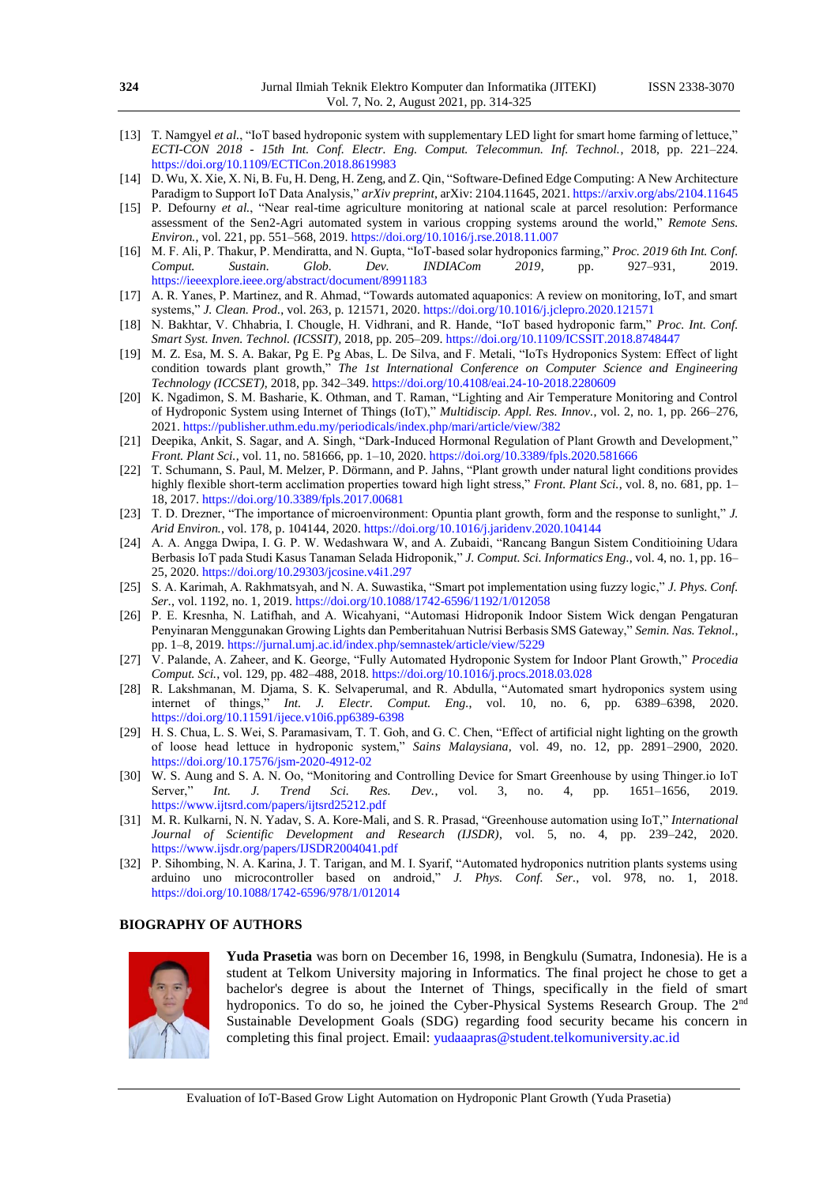- [13] T. Namgyel et al., "IoT based hydroponic system with supplementary LED light for smart home farming of lettuce," *ECTI-CON 2018 - 15th Int. Conf. Electr. Eng. Comput. Telecommun. Inf. Technol.*, 2018, pp. 221–224. <https://doi.org/10.1109/ECTICon.2018.8619983>
- [14] D. Wu, X. Xie, X. Ni, B. Fu, H. Deng, H. Zeng, and Z. Qin, "Software-Defined Edge Computing: A New Architecture Paradigm to Support IoT Data Analysis," *arXiv preprint*, arXiv: 2104.11645, 2021. <https://arxiv.org/abs/2104.11645>
- [15] P. Defourny *et al.*, "Near real-time agriculture monitoring at national scale at parcel resolution: Performance assessment of the Sen2-Agri automated system in various cropping systems around the world," *Remote Sens. Environ.*, vol. 221, pp. 551–568, 2019. <https://doi.org/10.1016/j.rse.2018.11.007>
- <span id="page-10-1"></span>[16] M. F. Ali, P. Thakur, P. Mendiratta, and N. Gupta, "IoT-based solar hydroponics farming," *Proc. 2019 6th Int. Conf. Comput. Sustain. Glob. Dev. INDIACom 2019*, pp. 927–931, 2019. <https://ieeexplore.ieee.org/abstract/document/8991183>
- [17] A. R. Yanes, P. Martinez, and R. Ahmad, "Towards automated aquaponics: A review on monitoring, IoT, and smart systems," *J. Clean. Prod.*, vol. 263, p. 121571, 2020. <https://doi.org/10.1016/j.jclepro.2020.121571>
- [18] N. Bakhtar, V. Chhabria, I. Chougle, H. Vidhrani, and R. Hande, "IoT based hydroponic farm," *Proc. Int. Conf. Smart Syst. Inven. Technol. (ICSSIT),* 2018, pp. 205–209. <https://doi.org/10.1109/ICSSIT.2018.8748447>
- [19] M. Z. Esa, M. S. A. Bakar, Pg E. Pg Abas, L. De Silva, and F. Metali, "IoTs Hydroponics System: Effect of light condition towards plant growth," *The 1st International Conference on Computer Science and Engineering Technology (ICCSET)*, 2018, pp. 342–349. <https://doi.org/10.4108/eai.24-10-2018.2280609>
- [20] K. Ngadimon, S. M. Basharie, K. Othman, and T. Raman, "Lighting and Air Temperature Monitoring and Control of Hydroponic System using Internet of Things (IoT)," *Multidiscip. Appl. Res. Innov.*, vol. 2, no. 1, pp. 266–276, 2021. <https://publisher.uthm.edu.my/periodicals/index.php/mari/article/view/382>
- <span id="page-10-2"></span>[21] Deepika, Ankit, S. Sagar, and A. Singh, "Dark-Induced Hormonal Regulation of Plant Growth and Development," *Front. Plant Sci.*, vol. 11, no. 581666, pp. 1–10, 2020. <https://doi.org/10.3389/fpls.2020.581666>
- [22] T. Schumann, S. Paul, M. Melzer, P. Dörmann, and P. Jahns, "Plant growth under natural light conditions provides highly flexible short-term acclimation properties toward high light stress," *Front. Plant Sci.*, vol. 8, no. 681, pp. 1– 18, 2017. <https://doi.org/10.3389/fpls.2017.00681>
- [23] T. D. Drezner, "The importance of microenvironment: Opuntia plant growth, form and the response to sunlight," *J. Arid Environ.*, vol. 178, p. 104144, 2020. <https://doi.org/10.1016/j.jaridenv.2020.104144>
- [24] A. A. Angga Dwipa, I. G. P. W. Wedashwara W, and A. Zubaidi, "Rancang Bangun Sistem Conditioining Udara Berbasis IoT pada Studi Kasus Tanaman Selada Hidroponik," *J. Comput. Sci. Informatics Eng.*, vol. 4, no. 1, pp. 16– 25, 2020. <https://doi.org/10.29303/jcosine.v4i1.297>
- [25] S. A. Karimah, A. Rakhmatsyah, and N. A. Suwastika, "Smart pot implementation using fuzzy logic," *J. Phys. Conf. Ser.*, vol. 1192, no. 1, 2019. <https://doi.org/10.1088/1742-6596/1192/1/012058>
- <span id="page-10-3"></span>[26] P. E. Kresnha, N. Latifhah, and A. Wicahyani, "Automasi Hidroponik Indoor Sistem Wick dengan Pengaturan Penyinaran Menggunakan Growing Lights dan Pemberitahuan Nutrisi Berbasis SMS Gateway," *Semin. Nas. Teknol.*, pp. 1–8, 2019. <https://jurnal.umj.ac.id/index.php/semnastek/article/view/5229>
- [27] V. Palande, A. Zaheer, and K. George, "Fully Automated Hydroponic System for Indoor Plant Growth," *Procedia Comput. Sci.*, vol. 129, pp. 482–488, 2018. <https://doi.org/10.1016/j.procs.2018.03.028>
- [28] R. Lakshmanan, M. Djama, S. K. Selvaperumal, and R. Abdulla, "Automated smart hydroponics system using internet of things," *Int. J. Electr. Comput. Eng.*, vol. 10, no. 6, pp. 6389–6398, 2020. <https://doi.org/10.11591/ijece.v10i6.pp6389-6398>
- [29] H. S. Chua, L. S. Wei, S. Paramasivam, T. T. Goh, and G. C. Chen, "Effect of artificial night lighting on the growth of loose head lettuce in hydroponic system," *Sains Malaysiana*, vol. 49, no. 12, pp. 2891–2900, 2020. <https://doi.org/10.17576/jsm-2020-4912-02>
- [30] W. S. Aung and S. A. N. Oo, "Monitoring and Controlling Device for Smart Greenhouse by using Thinger.io IoT<br>Server," *Int. J. Trend Sci. Res. Dev.*, vol. 3, no. 4, pp. 1651–1656, 2019. Server," *Int. J. Trend Sci. Res. Dev.*, vol. 3, no. 4, pp. 1651–1656, 2019. <https://www.ijtsrd.com/papers/ijtsrd25212.pdf>
- <span id="page-10-4"></span>[31] M. R. Kulkarni, N. N. Yadav, S. A. Kore-Mali, and S. R. Prasad, "Greenhouse automation using IoT," *International Journal of Scientific Development and Research (IJSDR)*, vol. 5, no. 4, pp. 239–242, 2020. <https://www.ijsdr.org/papers/IJSDR2004041.pdf>
- [32] P. Sihombing, N. A. Karina, J. T. Tarigan, and M. I. Syarif, "Automated hydroponics nutrition plants systems using arduino uno microcontroller based on android," *J. Phys. Conf. Ser.*, vol. 978, no. 1, 2018. <https://doi.org/10.1088/1742-6596/978/1/012014>

#### <span id="page-10-0"></span>**BIOGRAPHY OF AUTHORS**



**Yuda Prasetia** was born on December 16, 1998, in Bengkulu (Sumatra, Indonesia). He is a student at Telkom University majoring in Informatics. The final project he chose to get a bachelor's degree is about the Internet of Things, specifically in the field of smart hydroponics. To do so, he joined the Cyber-Physical Systems Research Group. The 2nd Sustainable Development Goals (SDG) regarding food security became his concern in completing this final project. Email: [yudaaapras@student.telkomuniversity.ac.id](mailto:yudaaapras@student.telkomuniversity.ac.id)